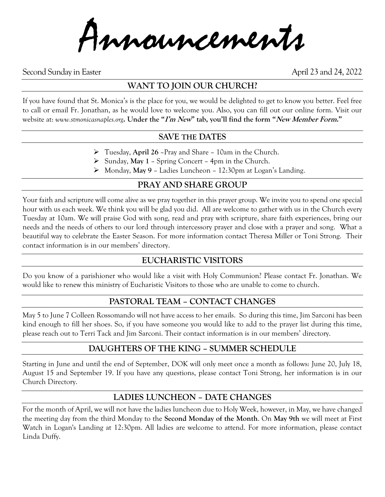Announcements

Second Sunday in Easter April 23 and 24, 2022

# **WANT TO JOIN OUR CHURCH?**

If you have found that St. Monica's is the place for you, we would be delighted to get to know you better. Feel free to call or email Fr. Jonathan, as he would love to welcome you. Also, you can fill out our online form. Visit our website at: *www.stmonicasnaples.org***. Under the "I'm New" tab, you'll find the form "New Member Form."**

## **SAVE THE DATES**

- ➢ Tuesday, **April 26** –Pray and Share 10am in the Church.
- ➢ Sunday, **May 1** Spring Concert 4pm in the Church.
- ➢ Monday, **May 9** Ladies Luncheon 12:30pm at Logan's Landing.

# **PRAY AND SHARE GROUP**

Your faith and scripture will come alive as we pray together in this prayer group. We invite you to spend one special hour with us each week. We think you will be glad you did. All are welcome to gather with us in the Church every Tuesday at 10am. We will praise God with song, read and pray with scripture, share faith experiences, bring our needs and the needs of others to our lord through intercessory prayer and close with a prayer and song. What a beautiful way to celebrate the Easter Season. For more information contact Theresa Miller or Toni Strong. Their contact information is in our members' directory.

# **EUCHARISTIC VISITORS**

Do you know of a parishioner who would like a visit with Holy Communion? Please contact Fr. Jonathan. We would like to renew this ministry of Eucharistic Visitors to those who are unable to come to church.

# **PASTORAL TEAM – CONTACT CHANGES**

May 5 to June 7 Colleen Rossomando will not have access to her emails. So during this time, Jim Sarconi has been kind enough to fill her shoes. So, if you have someone you would like to add to the prayer list during this time, please reach out to Terri Tack and Jim Sarconi. Their contact information is in our members' directory.

### **DAUGHTERS OF THE KING – SUMMER SCHEDULE**

Starting in June and until the end of September, DOK will only meet once a month as follows: June 20, July 18, August 15 and September 19. If you have any questions, please contact Toni Strong, her information is in our Church Directory.

# **LADIES LUNCHEON – DATE CHANGES**

For the month of April, we will not have the ladies luncheon due to Holy Week, however, in May, we have changed the meeting day from the third Monday to the **Second Monday of the Month**. On **May 9th** we will meet at First Watch in Logan's Landing at 12:30pm. All ladies are welcome to attend. For more information, please contact Linda Duffy.